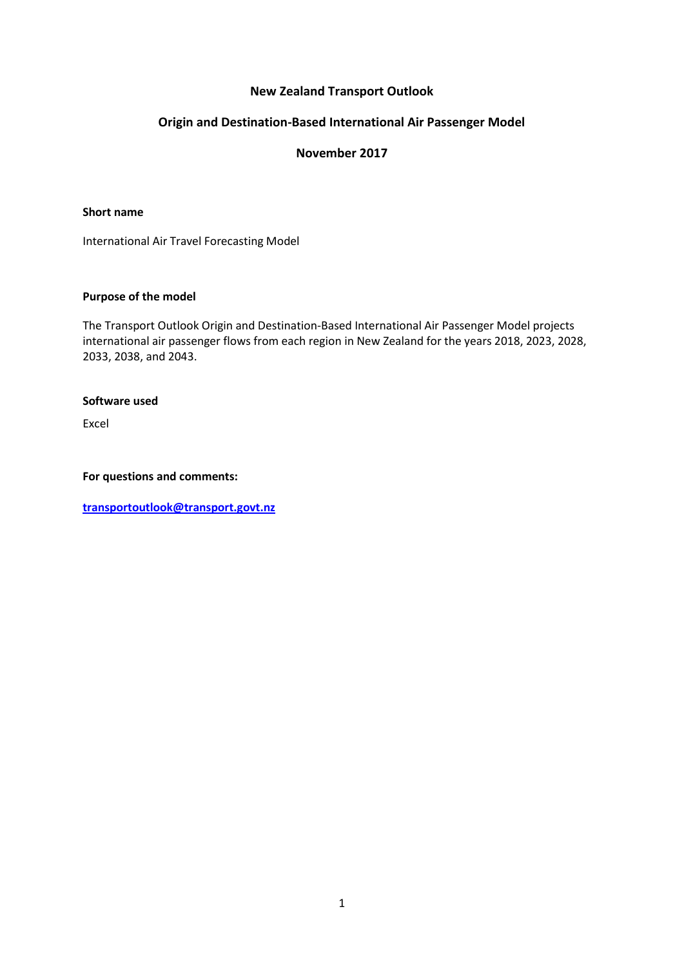# **New Zealand Transport Outlook**

# **Origin and Destination-Based International Air Passenger Model**

# **November 2017**

#### **Short name**

International Air Travel Forecasting Model

### **Purpose of the model**

The Transport Outlook Origin and Destination-Based International Air Passenger Model projects international air passenger flows from each region in New Zealand for the years 2018, 2023, 2028, 2033, 2038, and 2043.

#### **Software used**

Excel

**For questions and comments:** 

**[transportoutlook@transport.govt.nz](mailto:transportoutlook@transport.govt.nz)**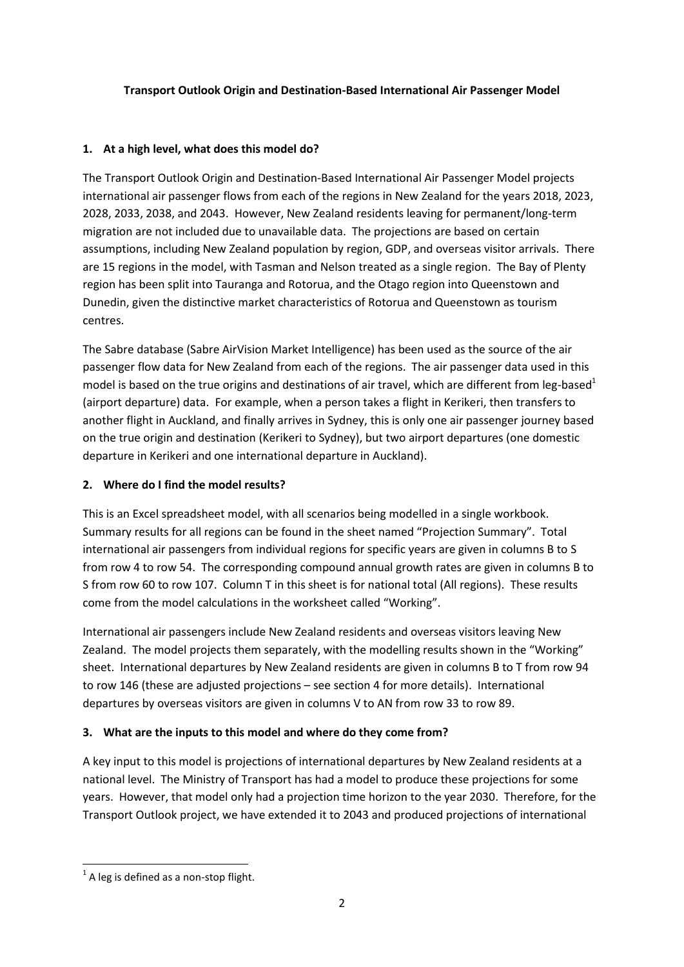### **Transport Outlook Origin and Destination-Based International Air Passenger Model**

### **1. At a high level, what does this model do?**

The Transport Outlook Origin and Destination-Based International Air Passenger Model projects international air passenger flows from each of the regions in New Zealand for the years 2018, 2023, 2028, 2033, 2038, and 2043. However, New Zealand residents leaving for permanent/long-term migration are not included due to unavailable data. The projections are based on certain assumptions, including New Zealand population by region, GDP, and overseas visitor arrivals. There are 15 regions in the model, with Tasman and Nelson treated as a single region. The Bay of Plenty region has been split into Tauranga and Rotorua, and the Otago region into Queenstown and Dunedin, given the distinctive market characteristics of Rotorua and Queenstown as tourism centres.

The Sabre database (Sabre AirVision Market Intelligence) has been used as the source of the air passenger flow data for New Zealand from each of the regions. The air passenger data used in this model is based on the true origins and destinations of air travel, which are different from leg-based<sup>1</sup> (airport departure) data. For example, when a person takes a flight in Kerikeri, then transfers to another flight in Auckland, and finally arrives in Sydney, this is only one air passenger journey based on the true origin and destination (Kerikeri to Sydney), but two airport departures (one domestic departure in Kerikeri and one international departure in Auckland).

### **2. Where do I find the model results?**

This is an Excel spreadsheet model, with all scenarios being modelled in a single workbook. Summary results for all regions can be found in the sheet named "Projection Summary". Total international air passengers from individual regions for specific years are given in columns B to S from row 4 to row 54. The corresponding compound annual growth rates are given in columns B to S from row 60 to row 107. Column T in this sheet is for national total (All regions). These results come from the model calculations in the worksheet called "Working".

International air passengers include New Zealand residents and overseas visitors leaving New Zealand. The model projects them separately, with the modelling results shown in the "Working" sheet. International departures by New Zealand residents are given in columns B to T from row 94 to row 146 (these are adjusted projections – see section 4 for more details). International departures by overseas visitors are given in columns V to AN from row 33 to row 89.

### **3. What are the inputs to this model and where do they come from?**

A key input to this model is projections of international departures by New Zealand residents at a national level. The Ministry of Transport has had a model to produce these projections for some years. However, that model only had a projection time horizon to the year 2030. Therefore, for the Transport Outlook project, we have extended it to 2043 and produced projections of international

**<sup>.</sup>**  $<sup>1</sup>$  A leg is defined as a non-stop flight.</sup>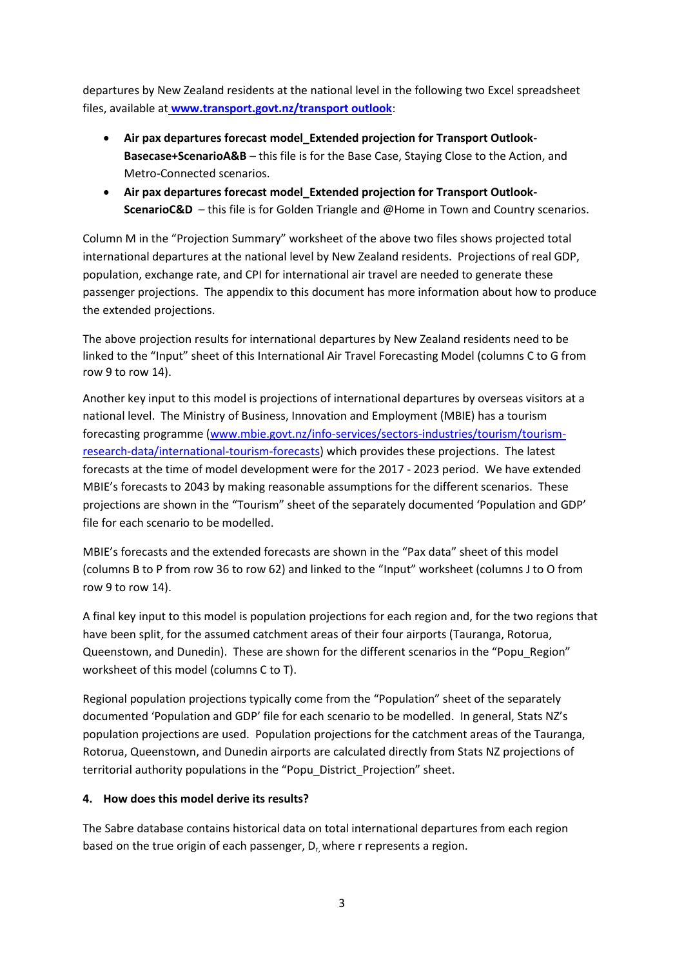departures by New Zealand residents at the national level in the following two Excel spreadsheet files, available at **www.transport.govt.nz/transport outlook**:

- **Air pax departures forecast model\_Extended projection for Transport Outlook-Basecase+ScenarioA&B** – this file is for the Base Case, Staying Close to the Action, and Metro-Connected scenarios.
- **Air pax departures forecast model\_Extended projection for Transport Outlook-ScenarioC&D** – this file is for Golden Triangle and @Home in Town and Country scenarios.

Column M in the "Projection Summary" worksheet of the above two files shows projected total international departures at the national level by New Zealand residents. Projections of real GDP, population, exchange rate, and CPI for international air travel are needed to generate these passenger projections. The appendix to this document has more information about how to produce the extended projections.

The above projection results for international departures by New Zealand residents need to be linked to the "Input" sheet of this International Air Travel Forecasting Model (columns C to G from row 9 to row 14).

Another key input to this model is projections of international departures by overseas visitors at a national level. The Ministry of Business, Innovation and Employment (MBIE) has a tourism forecasting programme [\(www.mbie.govt.nz/info-services/sectors-industries/tourism/tourism](http://www.mbie.govt.nz/info-services/sectors-industries/tourism/tourism-research-data/international-tourism-forecasts)[research-data/international-tourism-forecasts\)](http://www.mbie.govt.nz/info-services/sectors-industries/tourism/tourism-research-data/international-tourism-forecasts) which provides these projections. The latest forecasts at the time of model development were for the 2017 - 2023 period. We have extended MBIE's forecasts to 2043 by making reasonable assumptions for the different scenarios. These projections are shown in the "Tourism" sheet of the separately documented 'Population and GDP' file for each scenario to be modelled.

MBIE's forecasts and the extended forecasts are shown in the "Pax data" sheet of this model (columns B to P from row 36 to row 62) and linked to the "Input" worksheet (columns J to O from row 9 to row 14).

A final key input to this model is population projections for each region and, for the two regions that have been split, for the assumed catchment areas of their four airports (Tauranga, Rotorua, Queenstown, and Dunedin). These are shown for the different scenarios in the "Popu\_Region" worksheet of this model (columns C to T).

Regional population projections typically come from the "Population" sheet of the separately documented 'Population and GDP' file for each scenario to be modelled. In general, Stats NZ's population projections are used. Population projections for the catchment areas of the Tauranga, Rotorua, Queenstown, and Dunedin airports are calculated directly from Stats NZ projections of territorial authority populations in the "Popu\_District\_Projection" sheet.

### **4. How does this model derive its results?**

The Sabre database contains historical data on total international departures from each region based on the true origin of each passenger,  $D<sub>r</sub>$ , where r represents a region.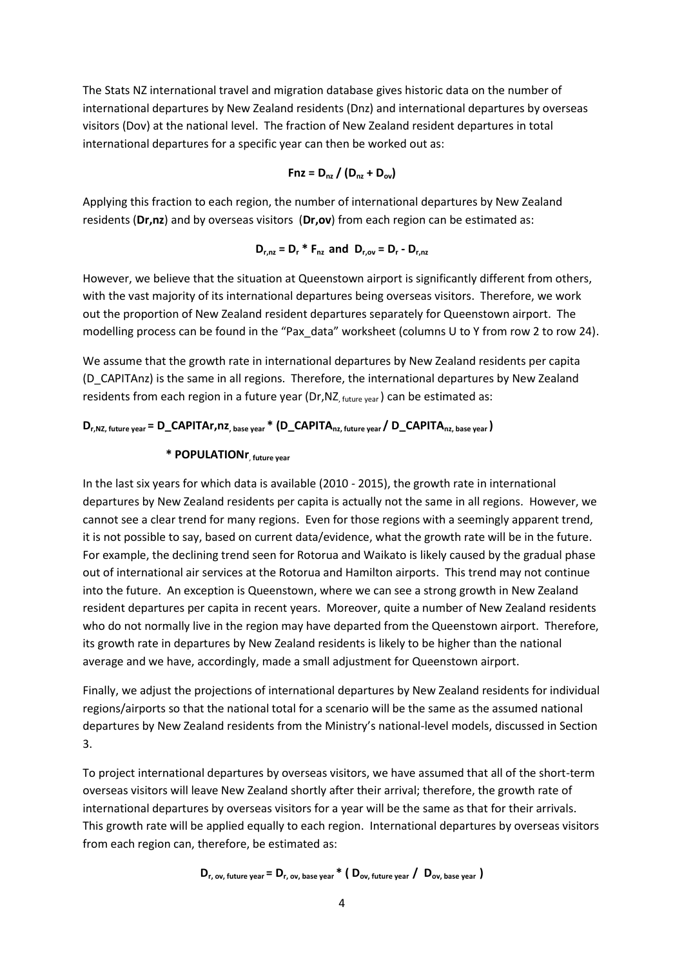The Stats NZ international travel and migration database gives historic data on the number of international departures by New Zealand residents (Dnz) and international departures by overseas visitors (Dov) at the national level. The fraction of New Zealand resident departures in total international departures for a specific year can then be worked out as:

$$
Fnz = D_{nz} / (D_{nz} + D_{ov})
$$

Applying this fraction to each region, the number of international departures by New Zealand residents (**Dr,nz**) and by overseas visitors (**Dr,ov**) from each region can be estimated as:

$$
\mathbf{D}_{r,nz} = \mathbf{D}_r \cdot \mathbf{F}_{nz} \text{ and } \mathbf{D}_{r,ov} = \mathbf{D}_r - \mathbf{D}_{r,nz}
$$

However, we believe that the situation at Queenstown airport is significantly different from others, with the vast majority of its international departures being overseas visitors. Therefore, we work out the proportion of New Zealand resident departures separately for Queenstown airport. The modelling process can be found in the "Pax\_data" worksheet (columns U to Y from row 2 to row 24).

We assume that the growth rate in international departures by New Zealand residents per capita (D\_CAPITAnz) is the same in all regions. Therefore, the international departures by New Zealand residents from each region in a future year (Dr, NZ  $_{\text{future year}}$ ) can be estimated as:

# **Dr,NZ, future year = D\_CAPITAr,nz, base year \* (D\_CAPITAnz, future year / D\_CAPITAnz, base year )**

# **\* POPULATIONr**, **future year**

In the last six years for which data is available (2010 - 2015), the growth rate in international departures by New Zealand residents per capita is actually not the same in all regions. However, we cannot see a clear trend for many regions. Even for those regions with a seemingly apparent trend, it is not possible to say, based on current data/evidence, what the growth rate will be in the future. For example, the declining trend seen for Rotorua and Waikato is likely caused by the gradual phase out of international air services at the Rotorua and Hamilton airports. This trend may not continue into the future. An exception is Queenstown, where we can see a strong growth in New Zealand resident departures per capita in recent years. Moreover, quite a number of New Zealand residents who do not normally live in the region may have departed from the Queenstown airport. Therefore, its growth rate in departures by New Zealand residents is likely to be higher than the national average and we have, accordingly, made a small adjustment for Queenstown airport.

Finally, we adjust the projections of international departures by New Zealand residents for individual regions/airports so that the national total for a scenario will be the same as the assumed national departures by New Zealand residents from the Ministry's national-level models, discussed in Section 3.

To project international departures by overseas visitors, we have assumed that all of the short-term overseas visitors will leave New Zealand shortly after their arrival; therefore, the growth rate of international departures by overseas visitors for a year will be the same as that for their arrivals. This growth rate will be applied equally to each region. International departures by overseas visitors from each region can, therefore, be estimated as:

$$
D_{r, ov, future year} = D_{r, ov, base year} * (D_{ov, future year} / D_{ov, base year})
$$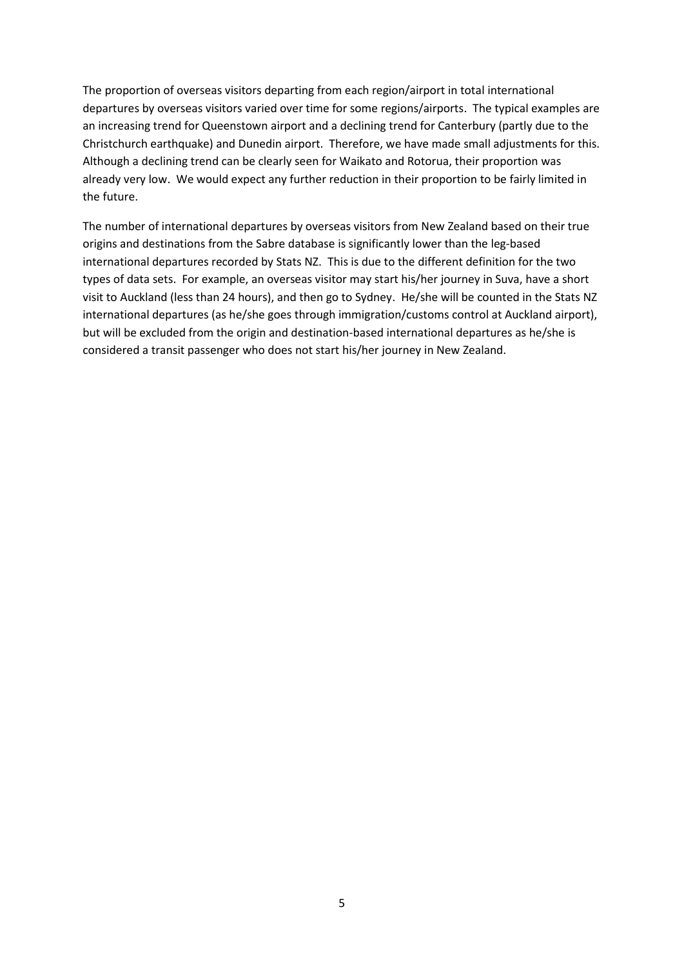The proportion of overseas visitors departing from each region/airport in total international departures by overseas visitors varied over time for some regions/airports. The typical examples are an increasing trend for Queenstown airport and a declining trend for Canterbury (partly due to the Christchurch earthquake) and Dunedin airport. Therefore, we have made small adjustments for this. Although a declining trend can be clearly seen for Waikato and Rotorua, their proportion was already very low. We would expect any further reduction in their proportion to be fairly limited in the future.

The number of international departures by overseas visitors from New Zealand based on their true origins and destinations from the Sabre database is significantly lower than the leg-based international departures recorded by Stats NZ. This is due to the different definition for the two types of data sets. For example, an overseas visitor may start his/her journey in Suva, have a short visit to Auckland (less than 24 hours), and then go to Sydney. He/she will be counted in the Stats NZ international departures (as he/she goes through immigration/customs control at Auckland airport), but will be excluded from the origin and destination-based international departures as he/she is considered a transit passenger who does not start his/her journey in New Zealand.